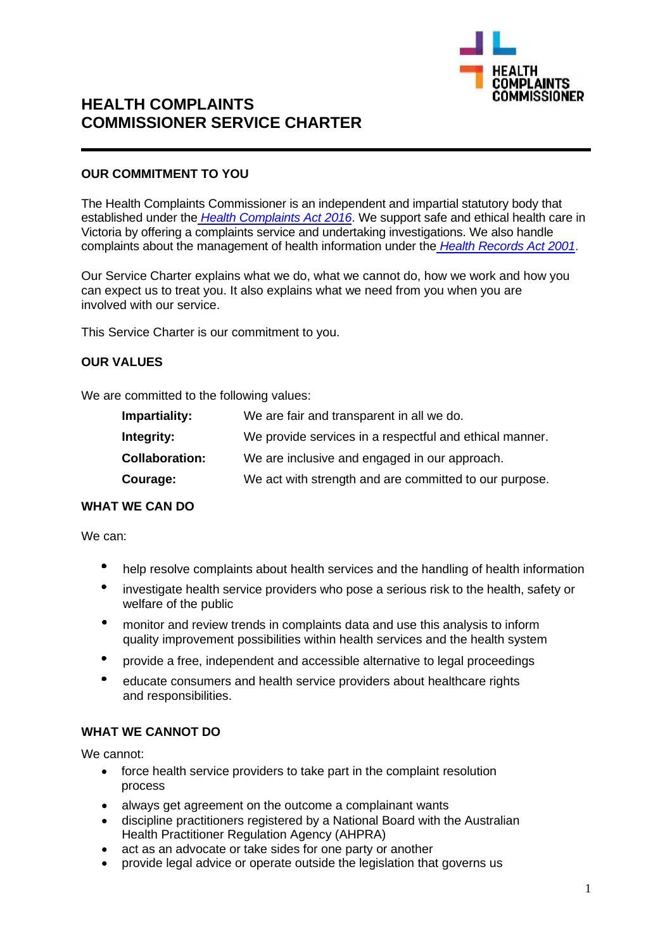

# **HEALTH COMPLAINTS COMMISSIONER SERVICE CHARTER**

## **OUR COMMITMENT TO YOU**

The Health Complaints Commissioner is an independent and impartial statutory body that established under the *Health Complaints Act 2016*. We support safe and ethical health care in Victoria by offering a complaints service and undertaking investigations. We also handle complaints about the management of health information under the *Health Records Act 2001*.

Our Service Charter explains what we do, what we cannot do, how we work and how you can expect us to treat you. It also explains what we need from you when you are involved with our service.

This Service Charter is our commitment to you.

#### **OUR VALUES**

We are committed to the following values:

| Impartiality:         | We are fair and transparent in all we do.               |
|-----------------------|---------------------------------------------------------|
| Integrity:            | We provide services in a respectful and ethical manner. |
| <b>Collaboration:</b> | We are inclusive and engaged in our approach.           |
| Courage:              | We act with strength and are committed to our purpose.  |

## **WHAT WE CAN DO**

We can:

- $\bullet$ help resolve complaints about health services and the handling of health information
- investigate health service providers who pose a serious risk to the health, safety or welfare of the public
- $\bullet$ monitor and review trends in complaints data and use this analysis to inform quality improvement possibilities within health services and the health system
- provide a free, independent and accessible alternative to legal proceedings
- $\bullet$ educate consumers and health service providers about healthcare rights and responsibilities.

## **WHAT WE CANNOT DO**

We cannot:

- force health service providers to take part in the complaint resolution process
- always get agreement on the outcome a complainant wants
- discipline practitioners registered by a National Board with the Australian Health Practitioner Regulation Agency (AHPRA)
- act as an advocate or take sides for one party or another
- provide legal advice or operate outside the legislation that governs us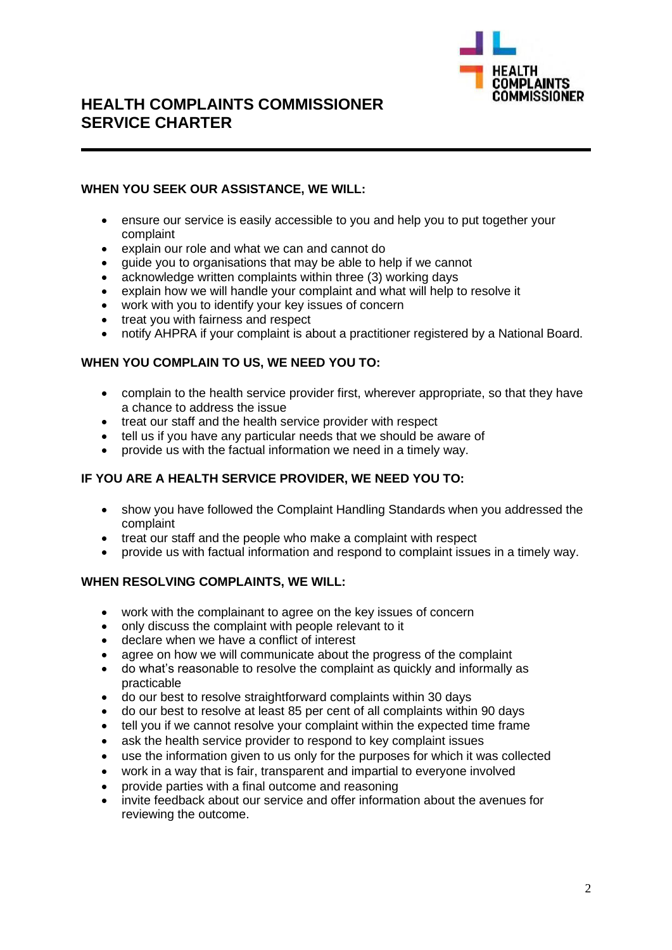

## **HEALTH COMPLAINTS COMMISSIONER SERVICE CHARTER**

## **WHEN YOU SEEK OUR ASSISTANCE, WE WILL:**

- ensure our service is easily accessible to you and help you to put together your complaint
- explain our role and what we can and cannot do
- guide you to organisations that may be able to help if we cannot
- acknowledge written complaints within three (3) working days
- explain how we will handle your complaint and what will help to resolve it
- work with you to identify your key issues of concern
- treat you with fairness and respect
- notify AHPRA if your complaint is about a practitioner registered by a National Board.

#### **WHEN YOU COMPLAIN TO US, WE NEED YOU TO:**

- complain to the health service provider first, wherever appropriate, so that they have a chance to address the issue
- treat our staff and the health service provider with respect
- tell us if you have any particular needs that we should be aware of
- provide us with the factual information we need in a timely way.

## **IF YOU ARE A HEALTH SERVICE PROVIDER, WE NEED YOU TO:**

- show you have followed the Complaint Handling Standards when you addressed the complaint
- treat our staff and the people who make a complaint with respect
- provide us with factual information and respond to complaint issues in a timely way.

## **WHEN RESOLVING COMPLAINTS, WE WILL:**

- work with the complainant to agree on the key issues of concern<br>• only discuss the complaint with people relevant to it
- only discuss the complaint with people relevant to it
- declare when we have a conflict of interest
- agree on how we will communicate about the progress of the complaint
- do what's reasonable to resolve the complaint as quickly and informally as practicable
- do our best to resolve straightforward complaints within 30 days
- do our best to resolve at least 85 per cent of all complaints within 90 days
- tell you if we cannot resolve your complaint within the expected time frame
- ask the health service provider to respond to key complaint issues
- use the information given to us only for the purposes for which it was collected
- work in a way that is fair, transparent and impartial to everyone involved
- provide parties with a final outcome and reasoning
- invite feedback about our service and offer information about the avenues for reviewing the outcome.